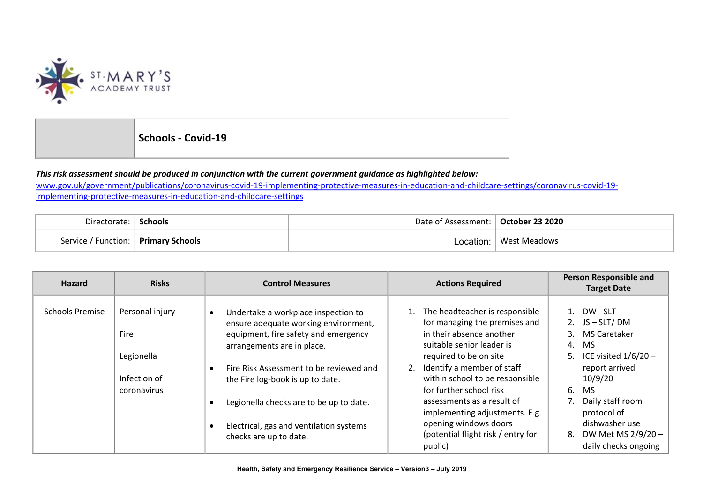

**Schools - Covid-19**

## This risk assessment should be produced in conjunction with the current government guidance as highlighted below:

www.gov.uk/government/publications/coronavirus-covid-19-implementing-protective-measures-in-education-and-childcare-settings/coronavirus-covid-19 implementing-protective-measures-in-education-and-childcare-settings

| Directorate:                          | <b>Schools</b> | Date of Assessment:   October 23 2020 |              |
|---------------------------------------|----------------|---------------------------------------|--------------|
| Service / Function:   Primary Schools |                | Location:                             | West Meadows |

| <b>Hazard</b>          | <b>Risks</b>                                          | <b>Control Measures</b>                                                                                                                                                                                                                                    | <b>Actions Required</b>                                                                                                                                                                                                   | <b>Person Responsible and</b><br><b>Target Date</b>                                                                                                  |
|------------------------|-------------------------------------------------------|------------------------------------------------------------------------------------------------------------------------------------------------------------------------------------------------------------------------------------------------------------|---------------------------------------------------------------------------------------------------------------------------------------------------------------------------------------------------------------------------|------------------------------------------------------------------------------------------------------------------------------------------------------|
| <b>Schools Premise</b> | Personal injury<br>Fire<br>Legionella<br>Infection of | Undertake a workplace inspection to<br>$\bullet$<br>ensure adequate working environment,<br>equipment, fire safety and emergency<br>arrangements are in place.<br>Fire Risk Assessment to be reviewed and<br>$\bullet$<br>the Fire log-book is up to date. | The headteacher is responsible<br>for managing the premises and<br>in their absence another<br>suitable senior leader is<br>required to be on site<br>Identify a member of staff<br>2.<br>within school to be responsible | 1. DW - SLT<br>2. $JS - SLT / DM$<br><b>MS Caretaker</b><br>3 <sub>1</sub><br>4.<br>MS.<br>ICE visited $1/6/20$ –<br>5.<br>report arrived<br>10/9/20 |
|                        | coronavirus                                           | Legionella checks are to be up to date.<br>Electrical, gas and ventilation systems<br>checks are up to date.                                                                                                                                               | for further school risk<br>assessments as a result of<br>implementing adjustments. E.g.<br>opening windows doors<br>(potential flight risk / entry for<br>public)                                                         | 6.<br><b>MS</b><br>Daily staff room<br>protocol of<br>dishwasher use<br>DW Met MS 2/9/20 -<br>8.<br>daily checks ongoing                             |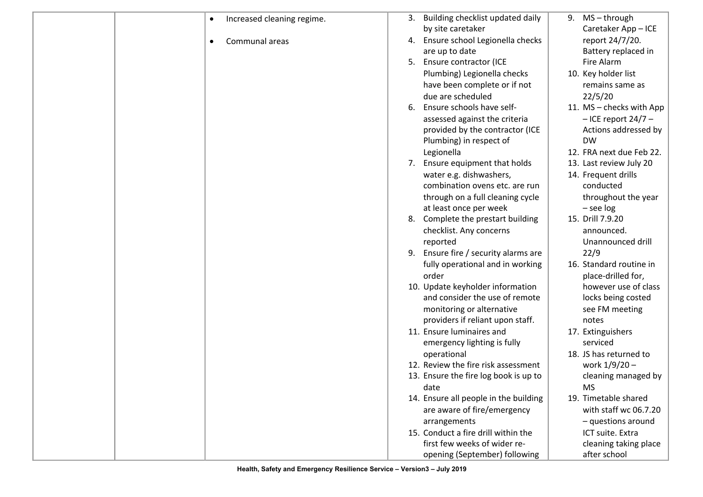| Increased cleaning regime.<br>$\bullet$ | Building checklist updated daily<br>3. | $MS - through$<br>9.     |
|-----------------------------------------|----------------------------------------|--------------------------|
|                                         | by site caretaker                      | Caretaker App - ICE      |
| Communal areas<br>$\bullet$             | 4. Ensure school Legionella checks     | report 24/7/20.          |
|                                         | are up to date                         | Battery replaced in      |
|                                         | Ensure contractor (ICE<br>5.           | Fire Alarm               |
|                                         | Plumbing) Legionella checks            | 10. Key holder list      |
|                                         | have been complete or if not           | remains same as          |
|                                         | due are scheduled                      | 22/5/20                  |
|                                         | Ensure schools have self-<br>6.        | 11. MS - checks with App |
|                                         | assessed against the criteria          | $-$ ICE report 24/7 $-$  |
|                                         | provided by the contractor (ICE        | Actions addressed by     |
|                                         | Plumbing) in respect of                | <b>DW</b>                |
|                                         | Legionella                             | 12. FRA next due Feb 22. |
|                                         | 7. Ensure equipment that holds         | 13. Last review July 20  |
|                                         | water e.g. dishwashers,                | 14. Frequent drills      |
|                                         | combination ovens etc. are run         | conducted                |
|                                         | through on a full cleaning cycle       | throughout the year      |
|                                         | at least once per week                 | $-$ see log              |
|                                         |                                        | 15. Drill 7.9.20         |
|                                         | Complete the prestart building<br>8.   |                          |
|                                         | checklist. Any concerns                | announced.               |
|                                         | reported                               | Unannounced drill        |
|                                         | 9. Ensure fire / security alarms are   | 22/9                     |
|                                         | fully operational and in working       | 16. Standard routine in  |
|                                         | order                                  | place-drilled for,       |
|                                         | 10. Update keyholder information       | however use of class     |
|                                         | and consider the use of remote         | locks being costed       |
|                                         | monitoring or alternative              | see FM meeting           |
|                                         | providers if reliant upon staff.       | notes                    |
|                                         | 11. Ensure luminaires and              | 17. Extinguishers        |
|                                         | emergency lighting is fully            | serviced                 |
|                                         | operational                            | 18. JS has returned to   |
|                                         | 12. Review the fire risk assessment    | work 1/9/20 -            |
|                                         | 13. Ensure the fire log book is up to  | cleaning managed by      |
|                                         | date                                   | <b>MS</b>                |
|                                         | 14. Ensure all people in the building  | 19. Timetable shared     |
|                                         | are aware of fire/emergency            | with staff wc 06.7.20    |
|                                         | arrangements                           | - questions around       |
|                                         | 15. Conduct a fire drill within the    | ICT suite. Extra         |
|                                         | first few weeks of wider re-           | cleaning taking place    |
|                                         | opening (September) following          | after school             |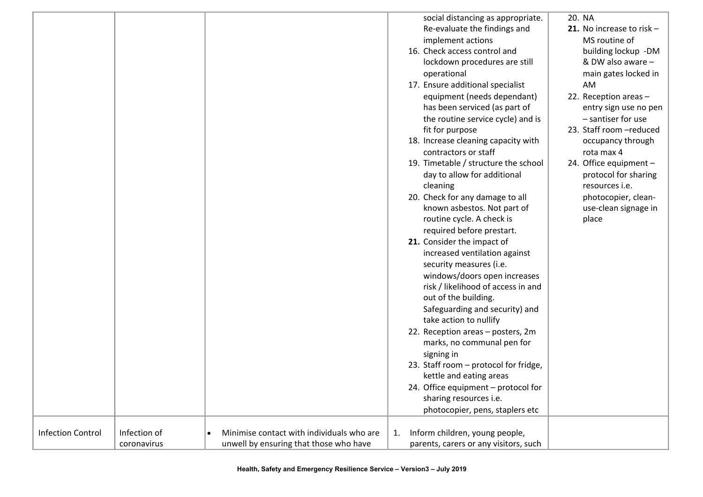|                          |              |                                                        | social distancing as appropriate.     | 20. NA                                      |
|--------------------------|--------------|--------------------------------------------------------|---------------------------------------|---------------------------------------------|
|                          |              |                                                        | Re-evaluate the findings and          | 21. No increase to risk $-$                 |
|                          |              |                                                        | implement actions                     | MS routine of                               |
|                          |              |                                                        | 16. Check access control and          | building lockup -DM                         |
|                          |              |                                                        | lockdown procedures are still         | & DW also aware -                           |
|                          |              |                                                        | operational                           | main gates locked in                        |
|                          |              |                                                        | 17. Ensure additional specialist      | AM                                          |
|                          |              |                                                        | equipment (needs dependant)           | 22. Reception areas -                       |
|                          |              |                                                        | has been serviced (as part of         |                                             |
|                          |              |                                                        |                                       | entry sign use no pen<br>- santiser for use |
|                          |              |                                                        | the routine service cycle) and is     | 23. Staff room -reduced                     |
|                          |              |                                                        | fit for purpose                       |                                             |
|                          |              |                                                        | 18. Increase cleaning capacity with   | occupancy through                           |
|                          |              |                                                        | contractors or staff                  | rota max 4                                  |
|                          |              |                                                        | 19. Timetable / structure the school  | 24. Office equipment -                      |
|                          |              |                                                        | day to allow for additional           | protocol for sharing                        |
|                          |              |                                                        | cleaning                              | resources i.e.                              |
|                          |              |                                                        | 20. Check for any damage to all       | photocopier, clean-                         |
|                          |              |                                                        | known asbestos. Not part of           | use-clean signage in                        |
|                          |              |                                                        | routine cycle. A check is             | place                                       |
|                          |              |                                                        | required before prestart.             |                                             |
|                          |              |                                                        | 21. Consider the impact of            |                                             |
|                          |              |                                                        | increased ventilation against         |                                             |
|                          |              |                                                        | security measures (i.e.               |                                             |
|                          |              |                                                        | windows/doors open increases          |                                             |
|                          |              |                                                        | risk / likelihood of access in and    |                                             |
|                          |              |                                                        | out of the building.                  |                                             |
|                          |              |                                                        | Safeguarding and security) and        |                                             |
|                          |              |                                                        | take action to nullify                |                                             |
|                          |              |                                                        | 22. Reception areas - posters, 2m     |                                             |
|                          |              |                                                        | marks, no communal pen for            |                                             |
|                          |              |                                                        | signing in                            |                                             |
|                          |              |                                                        | 23. Staff room - protocol for fridge, |                                             |
|                          |              |                                                        | kettle and eating areas               |                                             |
|                          |              |                                                        | 24. Office equipment – protocol for   |                                             |
|                          |              |                                                        | sharing resources i.e.                |                                             |
|                          |              |                                                        | photocopier, pens, staplers etc       |                                             |
|                          |              |                                                        |                                       |                                             |
| <b>Infection Control</b> | Infection of | Minimise contact with individuals who are<br>$\bullet$ | Inform children, young people,<br>1.  |                                             |
|                          | coronavirus  | unwell by ensuring that those who have                 | parents, carers or any visitors, such |                                             |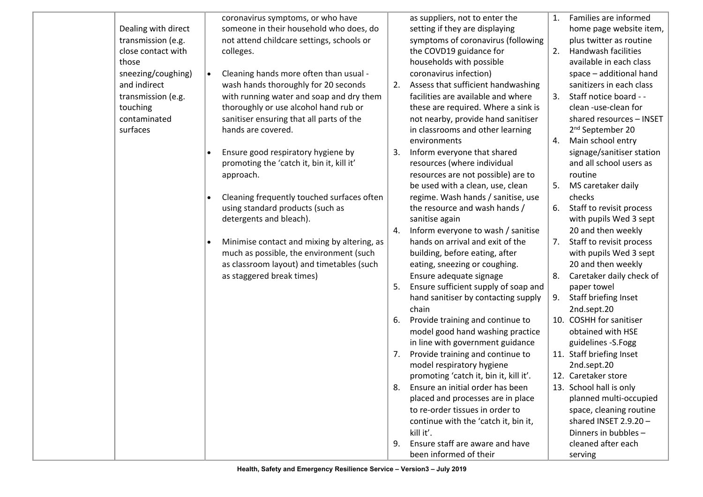| those                                | Dealing with direct<br>transmission (e.g.<br>close contact with<br>colleges. | coronavirus symptoms, or who have<br>someone in their household who does, do<br>not attend childcare settings, schools or                           |     | as suppliers, not to enter the<br>setting if they are displaying<br>symptoms of coronavirus (following<br>the COVD19 guidance for<br>households with possible | 1. | Families are informed<br>home page website item,<br>plus twitter as routine<br>2. Handwash facilities<br>available in each class |
|--------------------------------------|------------------------------------------------------------------------------|-----------------------------------------------------------------------------------------------------------------------------------------------------|-----|---------------------------------------------------------------------------------------------------------------------------------------------------------------|----|----------------------------------------------------------------------------------------------------------------------------------|
| and indirect                         | sneezing/coughing)<br>$\bullet$                                              | Cleaning hands more often than usual -<br>wash hands thoroughly for 20 seconds                                                                      | 2.  | coronavirus infection)<br>Assess that sufficient handwashing                                                                                                  |    | space - additional hand<br>sanitizers in each class                                                                              |
| touching<br>contaminated<br>surfaces | transmission (e.g.                                                           | with running water and soap and dry them<br>thoroughly or use alcohol hand rub or<br>sanitiser ensuring that all parts of the<br>hands are covered. |     | facilities are available and where<br>these are required. Where a sink is<br>not nearby, provide hand sanitiser<br>in classrooms and other learning           |    | Staff notice board - -<br>clean -use-clean for<br>shared resources - INSET<br>2 <sup>nd</sup> September 20                       |
|                                      |                                                                              | Ensure good respiratory hygiene by                                                                                                                  | 3.  | environments<br>Inform everyone that shared                                                                                                                   | 4. | Main school entry<br>signage/sanitiser station                                                                                   |
|                                      | approach.                                                                    | promoting the 'catch it, bin it, kill it'                                                                                                           |     | resources (where individual<br>resources are not possible) are to                                                                                             |    | and all school users as<br>routine                                                                                               |
|                                      | $\bullet$                                                                    | Cleaning frequently touched surfaces often                                                                                                          |     | be used with a clean, use, clean<br>regime. Wash hands / sanitise, use                                                                                        |    | 5. MS caretaker daily<br>checks                                                                                                  |
|                                      |                                                                              | using standard products (such as<br>detergents and bleach).                                                                                         |     | the resource and wash hands /<br>sanitise again                                                                                                               |    | 6. Staff to revisit process<br>with pupils Wed 3 sept                                                                            |
|                                      | $\bullet$                                                                    | Minimise contact and mixing by altering, as                                                                                                         | 4.  | Inform everyone to wash / sanitise<br>hands on arrival and exit of the                                                                                        |    | 20 and then weekly<br>7. Staff to revisit process                                                                                |
|                                      |                                                                              | much as possible, the environment (such<br>as classroom layout) and timetables (such                                                                |     | building, before eating, after<br>eating, sneezing or coughing.                                                                                               |    | with pupils Wed 3 sept<br>20 and then weekly                                                                                     |
|                                      |                                                                              | as staggered break times)                                                                                                                           | 5.  | Ensure adequate signage<br>Ensure sufficient supply of soap and                                                                                               |    | Caretaker daily check of<br>paper towel                                                                                          |
|                                      |                                                                              |                                                                                                                                                     |     | hand sanitiser by contacting supply<br>chain                                                                                                                  | 9. | Staff briefing Inset<br>2nd.sept.20                                                                                              |
|                                      |                                                                              |                                                                                                                                                     | -6. | Provide training and continue to<br>model good hand washing practice<br>in line with government guidance                                                      |    | 10. COSHH for sanitiser<br>obtained with HSE<br>guidelines - S. Fogg                                                             |
|                                      |                                                                              |                                                                                                                                                     | 7.  | Provide training and continue to<br>model respiratory hygiene                                                                                                 |    | 11. Staff briefing Inset<br>2nd.sept.20                                                                                          |
|                                      |                                                                              |                                                                                                                                                     |     | promoting 'catch it, bin it, kill it'.<br>Ensure an initial order has been                                                                                    |    | 12. Caretaker store<br>13. School hall is only                                                                                   |
|                                      |                                                                              |                                                                                                                                                     |     | placed and processes are in place<br>to re-order tissues in order to<br>continue with the 'catch it, bin it,                                                  |    | planned multi-occupied<br>space, cleaning routine<br>shared INSET $2.9.20 -$<br>Dinners in bubbles -                             |
|                                      |                                                                              |                                                                                                                                                     | 9.  | kill it'.<br>Ensure staff are aware and have<br>been informed of their                                                                                        |    | cleaned after each<br>serving                                                                                                    |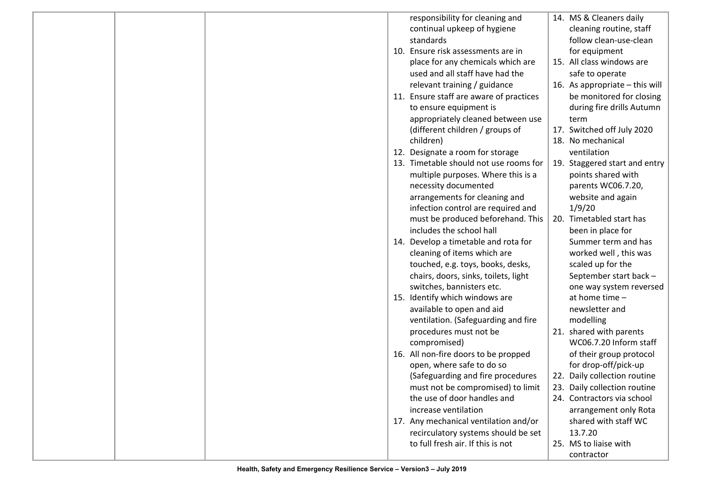|  |  | responsibility for cleaning and         | 14. MS & Cleaners daily          |
|--|--|-----------------------------------------|----------------------------------|
|  |  | continual upkeep of hygiene             | cleaning routine, staff          |
|  |  | standards                               | follow clean-use-clean           |
|  |  | 10. Ensure risk assessments are in      | for equipment                    |
|  |  | place for any chemicals which are       | 15. All class windows are        |
|  |  | used and all staff have had the         | safe to operate                  |
|  |  | relevant training / guidance            | 16. As appropriate $-$ this will |
|  |  | 11. Ensure staff are aware of practices | be monitored for closing         |
|  |  | to ensure equipment is                  | during fire drills Autumn        |
|  |  | appropriately cleaned between use       | term                             |
|  |  | (different children / groups of         | 17. Switched off July 2020       |
|  |  | children)                               | 18. No mechanical                |
|  |  | 12. Designate a room for storage        | ventilation                      |
|  |  | 13. Timetable should not use rooms for  | 19. Staggered start and entry    |
|  |  | multiple purposes. Where this is a      | points shared with               |
|  |  | necessity documented                    | parents WC06.7.20,               |
|  |  | arrangements for cleaning and           | website and again                |
|  |  | infection control are required and      | 1/9/20                           |
|  |  | must be produced beforehand. This       | 20. Timetabled start has         |
|  |  | includes the school hall                | been in place for                |
|  |  | 14. Develop a timetable and rota for    | Summer term and has              |
|  |  | cleaning of items which are             | worked well, this was            |
|  |  | touched, e.g. toys, books, desks,       | scaled up for the                |
|  |  | chairs, doors, sinks, toilets, light    | September start back -           |
|  |  | switches, bannisters etc.               | one way system reversed          |
|  |  | 15. Identify which windows are          | at home time -                   |
|  |  | available to open and aid               | newsletter and                   |
|  |  | ventilation. (Safeguarding and fire     | modelling                        |
|  |  | procedures must not be                  | 21. shared with parents          |
|  |  | compromised)                            | WC06.7.20 Inform staff           |
|  |  | 16. All non-fire doors to be propped    | of their group protocol          |
|  |  | open, where safe to do so               | for drop-off/pick-up             |
|  |  | (Safeguarding and fire procedures       | 22. Daily collection routine     |
|  |  | must not be compromised) to limit       | 23. Daily collection routine     |
|  |  | the use of door handles and             | 24. Contractors via school       |
|  |  | increase ventilation                    | arrangement only Rota            |
|  |  | 17. Any mechanical ventilation and/or   | shared with staff WC             |
|  |  | recirculatory systems should be set     | 13.7.20                          |
|  |  | to full fresh air. If this is not       | 25. MS to liaise with            |
|  |  |                                         | contractor                       |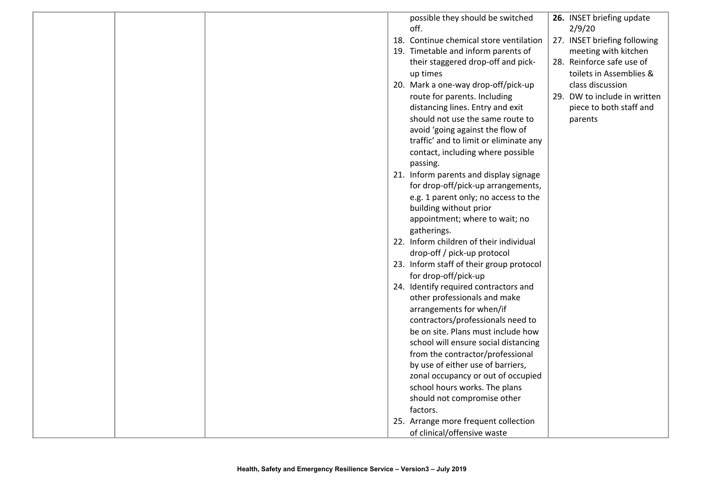|  |  | possible they should be switched         | 26. INSET briefing update    |
|--|--|------------------------------------------|------------------------------|
|  |  | off.                                     | 2/9/20                       |
|  |  | 18. Continue chemical store ventilation  | 27. INSET briefing following |
|  |  | 19. Timetable and inform parents of      | meeting with kitchen         |
|  |  | their staggered drop-off and pick-       | 28. Reinforce safe use of    |
|  |  | up times                                 | toilets in Assemblies &      |
|  |  | 20. Mark a one-way drop-off/pick-up      | class discussion             |
|  |  | route for parents. Including             | 29. DW to include in written |
|  |  | distancing lines. Entry and exit         | piece to both staff and      |
|  |  | should not use the same route to         | parents                      |
|  |  | avoid 'going against the flow of         |                              |
|  |  | traffic' and to limit or eliminate any   |                              |
|  |  | contact, including where possible        |                              |
|  |  | passing.                                 |                              |
|  |  | 21. Inform parents and display signage   |                              |
|  |  | for drop-off/pick-up arrangements,       |                              |
|  |  | e.g. 1 parent only; no access to the     |                              |
|  |  | building without prior                   |                              |
|  |  | appointment; where to wait; no           |                              |
|  |  | gatherings.                              |                              |
|  |  | 22. Inform children of their individual  |                              |
|  |  | drop-off / pick-up protocol              |                              |
|  |  | 23. Inform staff of their group protocol |                              |
|  |  | for drop-off/pick-up                     |                              |
|  |  | 24. Identify required contractors and    |                              |
|  |  | other professionals and make             |                              |
|  |  | arrangements for when/if                 |                              |
|  |  | contractors/professionals need to        |                              |
|  |  | be on site. Plans must include how       |                              |
|  |  | school will ensure social distancing     |                              |
|  |  | from the contractor/professional         |                              |
|  |  | by use of either use of barriers,        |                              |
|  |  | zonal occupancy or out of occupied       |                              |
|  |  | school hours works. The plans            |                              |
|  |  | should not compromise other              |                              |
|  |  |                                          |                              |
|  |  | factors.                                 |                              |
|  |  | 25. Arrange more frequent collection     |                              |
|  |  | of clinical/offensive waste              |                              |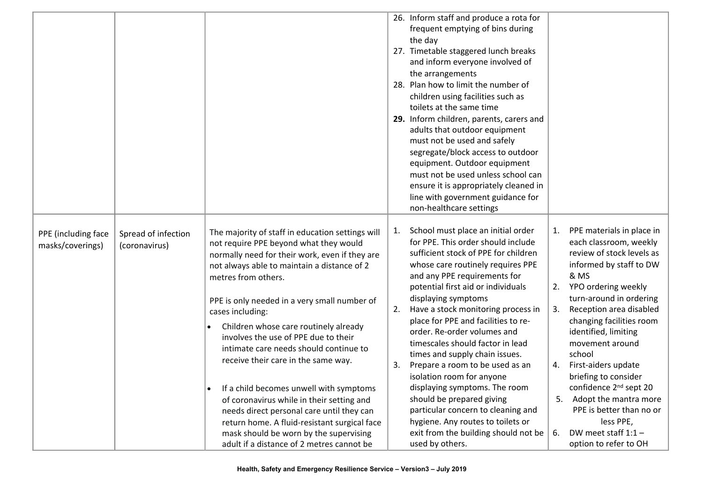|                                         |                                      |                                                                                                                                                                                                                                                                                                                                                                                                                                                                                                                                                                                                                                                                                                                                                   |                | 26. Inform staff and produce a rota for<br>frequent emptying of bins during<br>the day<br>27. Timetable staggered lunch breaks<br>and inform everyone involved of<br>the arrangements<br>28. Plan how to limit the number of<br>children using facilities such as<br>toilets at the same time<br>29. Inform children, parents, carers and<br>adults that outdoor equipment<br>must not be used and safely<br>segregate/block access to outdoor<br>equipment. Outdoor equipment<br>must not be used unless school can<br>ensure it is appropriately cleaned in                                                                                                                                            |                                  |                                                                                                                                                                                                                                                                                                                                                                                                                                                                                            |
|-----------------------------------------|--------------------------------------|---------------------------------------------------------------------------------------------------------------------------------------------------------------------------------------------------------------------------------------------------------------------------------------------------------------------------------------------------------------------------------------------------------------------------------------------------------------------------------------------------------------------------------------------------------------------------------------------------------------------------------------------------------------------------------------------------------------------------------------------------|----------------|----------------------------------------------------------------------------------------------------------------------------------------------------------------------------------------------------------------------------------------------------------------------------------------------------------------------------------------------------------------------------------------------------------------------------------------------------------------------------------------------------------------------------------------------------------------------------------------------------------------------------------------------------------------------------------------------------------|----------------------------------|--------------------------------------------------------------------------------------------------------------------------------------------------------------------------------------------------------------------------------------------------------------------------------------------------------------------------------------------------------------------------------------------------------------------------------------------------------------------------------------------|
|                                         |                                      |                                                                                                                                                                                                                                                                                                                                                                                                                                                                                                                                                                                                                                                                                                                                                   |                | line with government guidance for<br>non-healthcare settings                                                                                                                                                                                                                                                                                                                                                                                                                                                                                                                                                                                                                                             |                                  |                                                                                                                                                                                                                                                                                                                                                                                                                                                                                            |
| PPE (including face<br>masks/coverings) | Spread of infection<br>(coronavirus) | The majority of staff in education settings will<br>not require PPE beyond what they would<br>normally need for their work, even if they are<br>not always able to maintain a distance of 2<br>metres from others.<br>PPE is only needed in a very small number of<br>cases including:<br>Children whose care routinely already<br>$\bullet$<br>involves the use of PPE due to their<br>intimate care needs should continue to<br>receive their care in the same way.<br>If a child becomes unwell with symptoms<br>of coronavirus while in their setting and<br>needs direct personal care until they can<br>return home. A fluid-resistant surgical face<br>mask should be worn by the supervising<br>adult if a distance of 2 metres cannot be | 1.<br>2.<br>3. | School must place an initial order<br>for PPE. This order should include<br>sufficient stock of PPE for children<br>whose care routinely requires PPE<br>and any PPE requirements for<br>potential first aid or individuals<br>displaying symptoms<br>Have a stock monitoring process in<br>place for PPE and facilities to re-<br>order. Re-order volumes and<br>timescales should factor in lead<br>times and supply chain issues.<br>Prepare a room to be used as an<br>isolation room for anyone<br>displaying symptoms. The room<br>should be prepared giving<br>particular concern to cleaning and<br>hygiene. Any routes to toilets or<br>exit from the building should not be<br>used by others. | 1.<br>2.<br>3.<br>4.<br>5.<br>6. | PPE materials in place in<br>each classroom, weekly<br>review of stock levels as<br>informed by staff to DW<br>& MS<br>YPO ordering weekly<br>turn-around in ordering<br>Reception area disabled<br>changing facilities room<br>identified, limiting<br>movement around<br>school<br>First-aiders update<br>briefing to consider<br>confidence 2 <sup>nd</sup> sept 20<br>Adopt the mantra more<br>PPE is better than no or<br>less PPE,<br>DW meet staff $1:1 -$<br>option to refer to OH |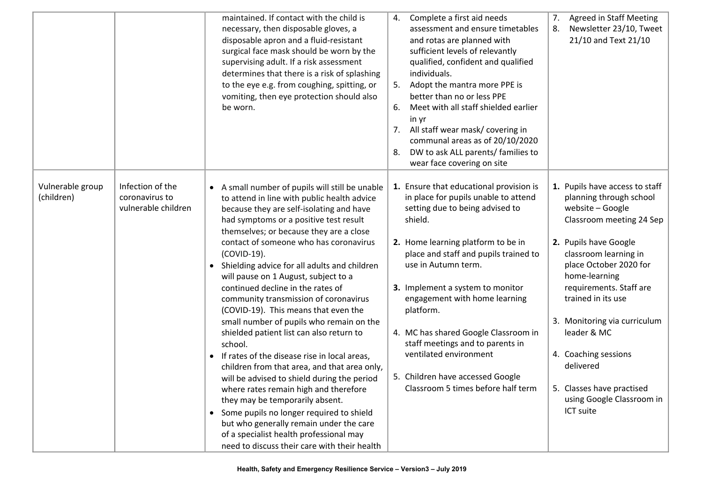|                                                                                             | maintained. If contact with the child is<br>necessary, then disposable gloves, a<br>disposable apron and a fluid-resistant<br>surgical face mask should be worn by the<br>supervising adult. If a risk assessment<br>determines that there is a risk of splashing<br>to the eye e.g. from coughing, spitting, or<br>vomiting, then eye protection should also<br>be worn.                                                                                                                                                                                                                                                                                                                                                                                                                                                                                                                                                                                                                                                  | Complete a first aid needs<br>4.<br>assessment and ensure timetables<br>and rotas are planned with<br>sufficient levels of relevantly<br>qualified, confident and qualified<br>individuals.<br>Adopt the mantra more PPE is<br>5.<br>better than no or less PPE<br>Meet with all staff shielded earlier<br>6.<br>in yr<br>7. All staff wear mask/ covering in<br>communal areas as of 20/10/2020<br>DW to ask ALL parents/ families to<br>8.<br>wear face covering on site                            | 7.<br><b>Agreed in Staff Meeting</b><br>Newsletter 23/10, Tweet<br>8.<br>21/10 and Text 21/10                                                                                                                                                                                                                                                                                                                      |
|---------------------------------------------------------------------------------------------|----------------------------------------------------------------------------------------------------------------------------------------------------------------------------------------------------------------------------------------------------------------------------------------------------------------------------------------------------------------------------------------------------------------------------------------------------------------------------------------------------------------------------------------------------------------------------------------------------------------------------------------------------------------------------------------------------------------------------------------------------------------------------------------------------------------------------------------------------------------------------------------------------------------------------------------------------------------------------------------------------------------------------|-------------------------------------------------------------------------------------------------------------------------------------------------------------------------------------------------------------------------------------------------------------------------------------------------------------------------------------------------------------------------------------------------------------------------------------------------------------------------------------------------------|--------------------------------------------------------------------------------------------------------------------------------------------------------------------------------------------------------------------------------------------------------------------------------------------------------------------------------------------------------------------------------------------------------------------|
| Infection of the<br>Vulnerable group<br>(children)<br>coronavirus to<br>vulnerable children | • A small number of pupils will still be unable<br>to attend in line with public health advice<br>because they are self-isolating and have<br>had symptoms or a positive test result<br>themselves; or because they are a close<br>contact of someone who has coronavirus<br>(COVID-19).<br>• Shielding advice for all adults and children<br>will pause on 1 August, subject to a<br>continued decline in the rates of<br>community transmission of coronavirus<br>(COVID-19). This means that even the<br>small number of pupils who remain on the<br>shielded patient list can also return to<br>school.<br>If rates of the disease rise in local areas,<br>children from that area, and that area only,<br>will be advised to shield during the period<br>where rates remain high and therefore<br>they may be temporarily absent.<br>• Some pupils no longer required to shield<br>but who generally remain under the care<br>of a specialist health professional may<br>need to discuss their care with their health | 1. Ensure that educational provision is<br>in place for pupils unable to attend<br>setting due to being advised to<br>shield.<br>2. Home learning platform to be in<br>place and staff and pupils trained to<br>use in Autumn term.<br>3. Implement a system to monitor<br>engagement with home learning<br>platform.<br>4. MC has shared Google Classroom in<br>staff meetings and to parents in<br>ventilated environment<br>5. Children have accessed Google<br>Classroom 5 times before half term | 1. Pupils have access to staff<br>planning through school<br>website - Google<br>Classroom meeting 24 Sep<br>2. Pupils have Google<br>classroom learning in<br>place October 2020 for<br>home-learning<br>requirements. Staff are<br>trained in its use<br>3. Monitoring via curriculum<br>leader & MC<br>4. Coaching sessions<br>delivered<br>5. Classes have practised<br>using Google Classroom in<br>ICT suite |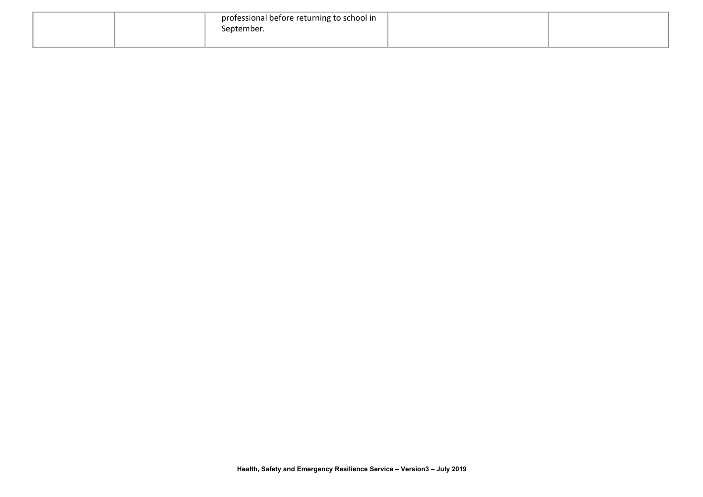|  | professional before returning to school in<br>September. |  |
|--|----------------------------------------------------------|--|
|  |                                                          |  |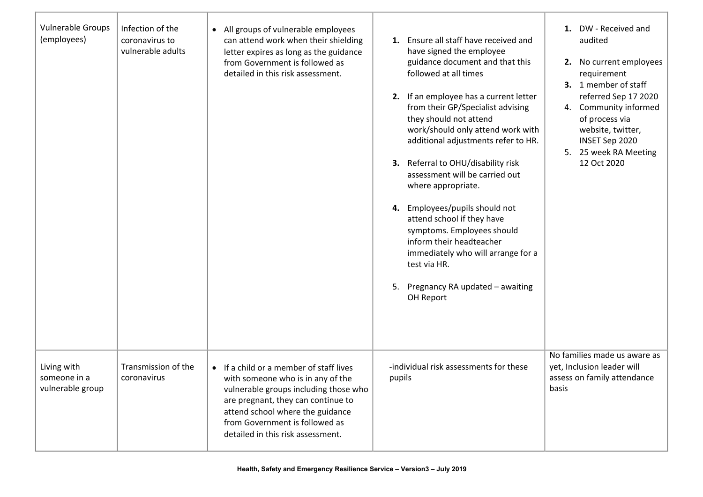| Vulnerable Groups<br>(employees)                | Infection of the<br>coronavirus to<br>vulnerable adults | • All groups of vulnerable employees<br>can attend work when their shielding<br>letter expires as long as the guidance<br>from Government is followed as<br>detailed in this risk assessment.                                                                          | 1. Ensure all staff have received and<br>have signed the employee<br>guidance document and that this<br>followed at all times<br>2. If an employee has a current letter<br>from their GP/Specialist advising<br>they should not attend<br>work/should only attend work with<br>additional adjustments refer to HR.<br>3. Referral to OHU/disability risk<br>assessment will be carried out<br>where appropriate.<br>4. Employees/pupils should not<br>attend school if they have<br>symptoms. Employees should<br>inform their headteacher<br>immediately who will arrange for a<br>test via HR.<br>5. Pregnancy RA updated - awaiting<br>OH Report | 1. DW - Received and<br>audited<br>2. No current employees<br>requirement<br>3. 1 member of staff<br>referred Sep 17 2020<br>4. Community informed<br>of process via<br>website, twitter,<br>INSET Sep 2020<br>5. 25 week RA Meeting<br>12 Oct 2020 |
|-------------------------------------------------|---------------------------------------------------------|------------------------------------------------------------------------------------------------------------------------------------------------------------------------------------------------------------------------------------------------------------------------|-----------------------------------------------------------------------------------------------------------------------------------------------------------------------------------------------------------------------------------------------------------------------------------------------------------------------------------------------------------------------------------------------------------------------------------------------------------------------------------------------------------------------------------------------------------------------------------------------------------------------------------------------------|-----------------------------------------------------------------------------------------------------------------------------------------------------------------------------------------------------------------------------------------------------|
| Living with<br>someone in a<br>vulnerable group | Transmission of the<br>coronavirus                      | • If a child or a member of staff lives<br>with someone who is in any of the<br>vulnerable groups including those who<br>are pregnant, they can continue to<br>attend school where the guidance<br>from Government is followed as<br>detailed in this risk assessment. | -individual risk assessments for these<br>pupils                                                                                                                                                                                                                                                                                                                                                                                                                                                                                                                                                                                                    | No families made us aware as<br>yet, Inclusion leader will<br>assess on family attendance<br>basis                                                                                                                                                  |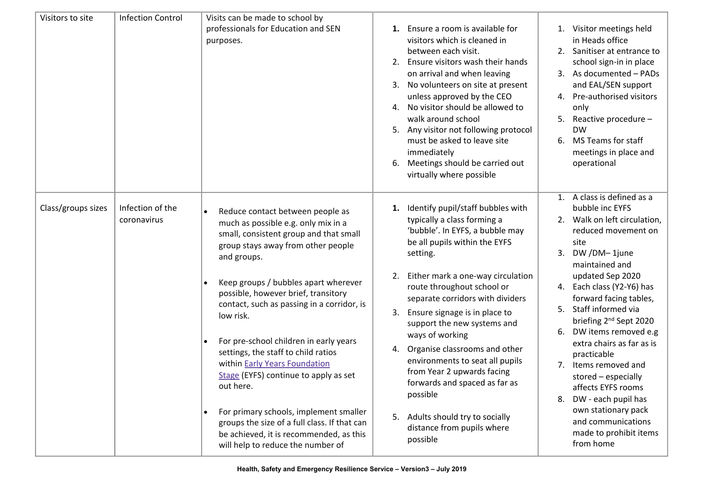| Visitors to site   | <b>Infection Control</b>        | Visits can be made to school by<br>professionals for Education and SEN<br>purposes.                                                                                                                                                                                                                                                                                                                                                                                                                                                                                                                                                                                             | 1. Ensure a room is available for<br>visitors which is cleaned in<br>between each visit.<br>2. Ensure visitors wash their hands<br>on arrival and when leaving<br>3. No volunteers on site at present<br>unless approved by the CEO<br>4. No visitor should be allowed to<br>walk around school<br>5. Any visitor not following protocol<br>must be asked to leave site<br>immediately<br>Meetings should be carried out<br>6.<br>virtually where possible                                                                                                                          | 1. Visitor meetings held<br>in Heads office<br>2. Sanitiser at entrance to<br>school sign-in in place<br>3. As documented - PADs<br>and EAL/SEN support<br>4. Pre-authorised visitors<br>only<br>Reactive procedure -<br>5.<br><b>DW</b><br>MS Teams for staff<br>6.<br>meetings in place and<br>operational                                                                                                                                                                                                                                                     |
|--------------------|---------------------------------|---------------------------------------------------------------------------------------------------------------------------------------------------------------------------------------------------------------------------------------------------------------------------------------------------------------------------------------------------------------------------------------------------------------------------------------------------------------------------------------------------------------------------------------------------------------------------------------------------------------------------------------------------------------------------------|-------------------------------------------------------------------------------------------------------------------------------------------------------------------------------------------------------------------------------------------------------------------------------------------------------------------------------------------------------------------------------------------------------------------------------------------------------------------------------------------------------------------------------------------------------------------------------------|------------------------------------------------------------------------------------------------------------------------------------------------------------------------------------------------------------------------------------------------------------------------------------------------------------------------------------------------------------------------------------------------------------------------------------------------------------------------------------------------------------------------------------------------------------------|
| Class/groups sizes | Infection of the<br>coronavirus | Reduce contact between people as<br>much as possible e.g. only mix in a<br>small, consistent group and that small<br>group stays away from other people<br>and groups.<br>Keep groups / bubbles apart wherever<br>possible, however brief, transitory<br>contact, such as passing in a corridor, is<br>low risk.<br>For pre-school children in early years<br>$\bullet$<br>settings, the staff to child ratios<br>within Early Years Foundation<br>Stage (EYFS) continue to apply as set<br>out here.<br>For primary schools, implement smaller<br>groups the size of a full class. If that can<br>be achieved, it is recommended, as this<br>will help to reduce the number of | 1. Identify pupil/staff bubbles with<br>typically a class forming a<br>'bubble'. In EYFS, a bubble may<br>be all pupils within the EYFS<br>setting.<br>2. Either mark a one-way circulation<br>route throughout school or<br>separate corridors with dividers<br>3. Ensure signage is in place to<br>support the new systems and<br>ways of working<br>4. Organise classrooms and other<br>environments to seat all pupils<br>from Year 2 upwards facing<br>forwards and spaced as far as<br>possible<br>5. Adults should try to socially<br>distance from pupils where<br>possible | 1. A class is defined as a<br>bubble inc EYFS<br>2. Walk on left circulation,<br>reduced movement on<br>site<br>DW/DM-1june<br>3.<br>maintained and<br>updated Sep 2020<br>4. Each class (Y2-Y6) has<br>forward facing tables,<br>Staff informed via<br>5.<br>briefing 2 <sup>nd</sup> Sept 2020<br>DW items removed e.g<br>6.<br>extra chairs as far as is<br>practicable<br>7. Items removed and<br>stored - especially<br>affects EYFS rooms<br>DW - each pupil has<br>8.<br>own stationary pack<br>and communications<br>made to prohibit items<br>from home |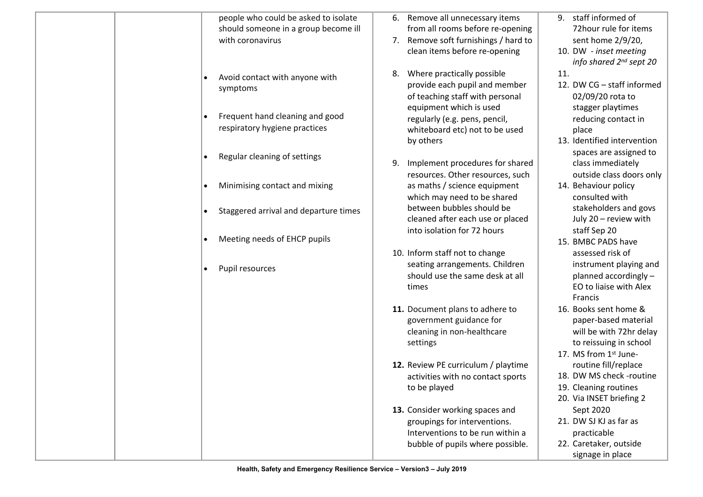| people who could be asked to isolate<br>9. staff informed of<br>6. Remove all unnecessary items                |                  |
|----------------------------------------------------------------------------------------------------------------|------------------|
| should someone in a group become ill<br>from all rooms before re-opening<br>72 hour rule for items             |                  |
| with coronavirus<br>7. Remove soft furnishings / hard to<br>sent home 2/9/20,                                  |                  |
| clean items before re-opening<br>10. DW - inset meeting                                                        |                  |
| info shared 2 <sup>nd</sup> sept 20                                                                            |                  |
| 11.<br>Where practically possible<br>8.<br>Avoid contact with anyone with                                      |                  |
| 12. DW CG - staff informed<br>provide each pupil and member<br>symptoms                                        |                  |
| of teaching staff with personal<br>02/09/20 rota to                                                            |                  |
| equipment which is used<br>stagger playtimes<br>Frequent hand cleaning and good                                |                  |
| regularly (e.g. pens, pencil,<br>reducing contact in<br>respiratory hygiene practices                          |                  |
| whiteboard etc) not to be used<br>place                                                                        |                  |
| 13. Identified intervention<br>by others                                                                       |                  |
| spaces are assigned to<br>Regular cleaning of settings                                                         |                  |
| Implement procedures for shared<br>class immediately<br>9.                                                     |                  |
| resources. Other resources, such<br>outside class doors only                                                   |                  |
| as maths / science equipment<br>Minimising contact and mixing<br>14. Behaviour policy                          |                  |
| which may need to be shared<br>consulted with                                                                  |                  |
| between bubbles should be<br>stakeholders and govs<br>Staggered arrival and departure times                    |                  |
| cleaned after each use or placed<br>July 20 - review with<br>into isolation for 72 hours                       |                  |
| staff Sep 20<br>Meeting needs of EHCP pupils<br>15. BMBC PADS have                                             |                  |
|                                                                                                                |                  |
| 10. Inform staff not to change<br>assessed risk of                                                             |                  |
| seating arrangements. Children<br>instrument playing and<br>Pupil resources<br>should use the same desk at all |                  |
| planned accordingly -<br>EO to liaise with Alex                                                                |                  |
| times<br>Francis                                                                                               |                  |
| 16. Books sent home &                                                                                          |                  |
| 11. Document plans to adhere to<br>paper-based material<br>government guidance for                             |                  |
| will be with 72hr delay<br>cleaning in non-healthcare                                                          |                  |
| settings<br>to reissuing in school                                                                             |                  |
| 17. MS from 1st June-                                                                                          |                  |
| 12. Review PE curriculum / playtime<br>routine fill/replace                                                    |                  |
| 18. DW MS check -routine<br>activities with no contact sports                                                  |                  |
| to be played<br>19. Cleaning routines                                                                          |                  |
| 20. Via INSET briefing 2                                                                                       |                  |
| 13. Consider working spaces and<br>Sept 2020                                                                   |                  |
| 21. DW SJ KJ as far as<br>groupings for interventions.                                                         |                  |
| Interventions to be run within a<br>practicable                                                                |                  |
| 22. Caretaker, outside<br>bubble of pupils where possible.                                                     |                  |
|                                                                                                                | signage in place |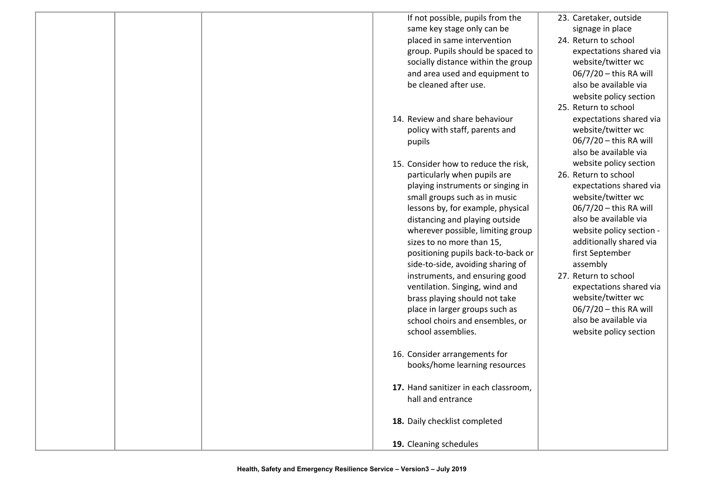|  | If not possible, pupils from the<br>same key stage only can be<br>placed in same intervention<br>group. Pupils should be spaced to<br>socially distance within the group<br>and area used and equipment to<br>be cleaned after use.                                                                                                                                                                                                                                                                                                                            | 23. Caretaker, outside<br>signage in place<br>24. Return to school<br>expectations shared via<br>website/twitter wc<br>06/7/20 - this RA will<br>also be available via<br>website policy section<br>25. Return to school                                                                                                                                                                       |
|--|----------------------------------------------------------------------------------------------------------------------------------------------------------------------------------------------------------------------------------------------------------------------------------------------------------------------------------------------------------------------------------------------------------------------------------------------------------------------------------------------------------------------------------------------------------------|------------------------------------------------------------------------------------------------------------------------------------------------------------------------------------------------------------------------------------------------------------------------------------------------------------------------------------------------------------------------------------------------|
|  | 14. Review and share behaviour<br>policy with staff, parents and<br>pupils                                                                                                                                                                                                                                                                                                                                                                                                                                                                                     | expectations shared via<br>website/twitter wc<br>06/7/20 - this RA will<br>also be available via                                                                                                                                                                                                                                                                                               |
|  | 15. Consider how to reduce the risk,<br>particularly when pupils are<br>playing instruments or singing in<br>small groups such as in music<br>lessons by, for example, physical<br>distancing and playing outside<br>wherever possible, limiting group<br>sizes to no more than 15,<br>positioning pupils back-to-back or<br>side-to-side, avoiding sharing of<br>instruments, and ensuring good<br>ventilation. Singing, wind and<br>brass playing should not take<br>place in larger groups such as<br>school choirs and ensembles, or<br>school assemblies. | website policy section<br>26. Return to school<br>expectations shared via<br>website/twitter wc<br>06/7/20 - this RA will<br>also be available via<br>website policy section -<br>additionally shared via<br>first September<br>assembly<br>27. Return to school<br>expectations shared via<br>website/twitter wc<br>06/7/20 - this RA will<br>also be available via<br>website policy section |
|  | 16. Consider arrangements for<br>books/home learning resources                                                                                                                                                                                                                                                                                                                                                                                                                                                                                                 |                                                                                                                                                                                                                                                                                                                                                                                                |
|  | 17. Hand sanitizer in each classroom,<br>hall and entrance                                                                                                                                                                                                                                                                                                                                                                                                                                                                                                     |                                                                                                                                                                                                                                                                                                                                                                                                |
|  | 18. Daily checklist completed                                                                                                                                                                                                                                                                                                                                                                                                                                                                                                                                  |                                                                                                                                                                                                                                                                                                                                                                                                |
|  | 19. Cleaning schedules                                                                                                                                                                                                                                                                                                                                                                                                                                                                                                                                         |                                                                                                                                                                                                                                                                                                                                                                                                |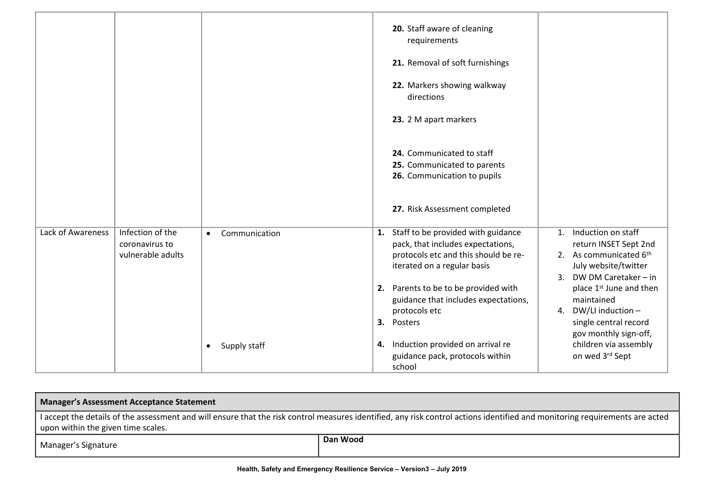|                   |                                                         |                            | 20. Staff aware of cleaning<br>requirements<br>21. Removal of soft furnishings                                                                    |                                                                                                                                               |
|-------------------|---------------------------------------------------------|----------------------------|---------------------------------------------------------------------------------------------------------------------------------------------------|-----------------------------------------------------------------------------------------------------------------------------------------------|
|                   |                                                         |                            | 22. Markers showing walkway<br>directions                                                                                                         |                                                                                                                                               |
|                   |                                                         |                            | 23. 2 M apart markers                                                                                                                             |                                                                                                                                               |
|                   |                                                         |                            | 24. Communicated to staff<br>25. Communicated to parents<br>26. Communication to pupils                                                           |                                                                                                                                               |
|                   |                                                         |                            | 27. Risk Assessment completed                                                                                                                     |                                                                                                                                               |
| Lack of Awareness | Infection of the<br>coronavirus to<br>vulnerable adults | Communication<br>$\bullet$ | 1. Staff to be provided with guidance<br>pack, that includes expectations,<br>protocols etc and this should be re-<br>iterated on a regular basis | Induction on staff<br>$\mathbf{1}$ .<br>return INSET Sept 2nd<br>2. As communicated 6th<br>July website/twitter<br>DW DM Caretaker - in<br>3. |
|                   |                                                         |                            | 2. Parents to be to be provided with<br>guidance that includes expectations,<br>protocols etc<br>3. Posters                                       | place 1 <sup>st</sup> June and then<br>maintained<br>DW/LI induction -<br>4.<br>single central record<br>gov monthly sign-off,                |
|                   |                                                         | Supply staff<br>$\bullet$  | 4. Induction provided on arrival re<br>guidance pack, protocols within<br>school                                                                  | children via assembly<br>on wed 3rd Sept                                                                                                      |

| <b>Manager's Assessment Acceptance Statement</b>                                                                                                                                                                  |          |  |  |
|-------------------------------------------------------------------------------------------------------------------------------------------------------------------------------------------------------------------|----------|--|--|
| I accept the details of the assessment and will ensure that the risk control measures identified, any risk control actions identified and monitoring requirements are acted<br>upon within the given time scales. |          |  |  |
| Manager's Signature                                                                                                                                                                                               | Dan Wood |  |  |